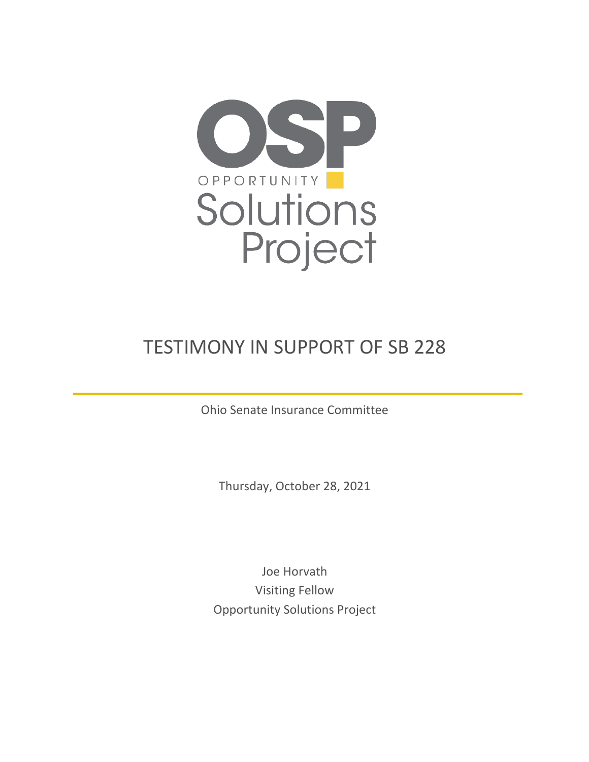

## TESTIMONY IN SUPPORT OF SB 228

Ohio Senate Insurance Committee

Thursday, October 28, 2021

Joe Horvath Visiting Fellow Opportunity Solutions Project